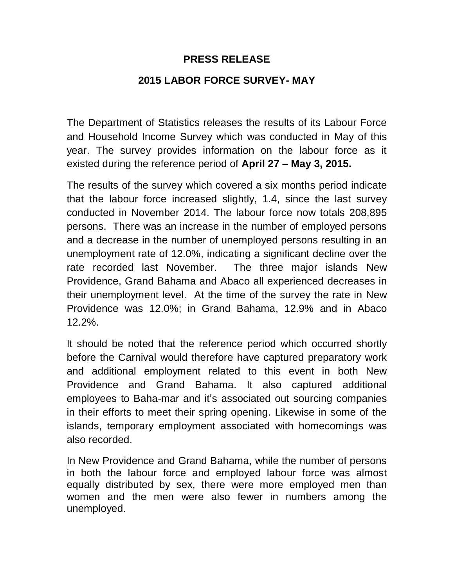## **PRESS RELEASE**

## **2015 LABOR FORCE SURVEY- MAY**

The Department of Statistics releases the results of its Labour Force and Household Income Survey which was conducted in May of this year. The survey provides information on the labour force as it existed during the reference period of **April 27 – May 3, 2015.**

The results of the survey which covered a six months period indicate that the labour force increased slightly, 1.4, since the last survey conducted in November 2014. The labour force now totals 208,895 persons. There was an increase in the number of employed persons and a decrease in the number of unemployed persons resulting in an unemployment rate of 12.0%, indicating a significant decline over the rate recorded last November. The three major islands New Providence, Grand Bahama and Abaco all experienced decreases in their unemployment level. At the time of the survey the rate in New Providence was 12.0%; in Grand Bahama, 12.9% and in Abaco 12.2%.

It should be noted that the reference period which occurred shortly before the Carnival would therefore have captured preparatory work and additional employment related to this event in both New Providence and Grand Bahama. It also captured additional employees to Baha-mar and it's associated out sourcing companies in their efforts to meet their spring opening. Likewise in some of the islands, temporary employment associated with homecomings was also recorded.

In New Providence and Grand Bahama, while the number of persons in both the labour force and employed labour force was almost equally distributed by sex, there were more employed men than women and the men were also fewer in numbers among the unemployed.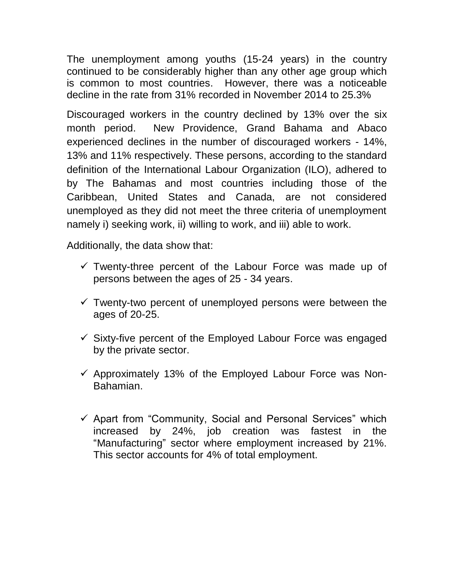The unemployment among youths (15-24 years) in the country continued to be considerably higher than any other age group which is common to most countries. However, there was a noticeable decline in the rate from 31% recorded in November 2014 to 25.3%

Discouraged workers in the country declined by 13% over the six month period. New Providence, Grand Bahama and Abaco experienced declines in the number of discouraged workers - 14%, 13% and 11% respectively. These persons, according to the standard definition of the International Labour Organization (ILO), adhered to by The Bahamas and most countries including those of the Caribbean, United States and Canada, are not considered unemployed as they did not meet the three criteria of unemployment namely i) seeking work, ii) willing to work, and iii) able to work.

Additionally, the data show that:

- $\checkmark$  Twenty-three percent of the Labour Force was made up of persons between the ages of 25 - 34 years.
- $\checkmark$  Twenty-two percent of unemployed persons were between the ages of 20-25.
- $\checkmark$  Sixty-five percent of the Employed Labour Force was engaged by the private sector.
- $\checkmark$  Approximately 13% of the Employed Labour Force was Non-Bahamian.
- $\checkmark$  Apart from "Community, Social and Personal Services" which increased by 24%, job creation was fastest in the "Manufacturing" sector where employment increased by 21%. This sector accounts for 4% of total employment.